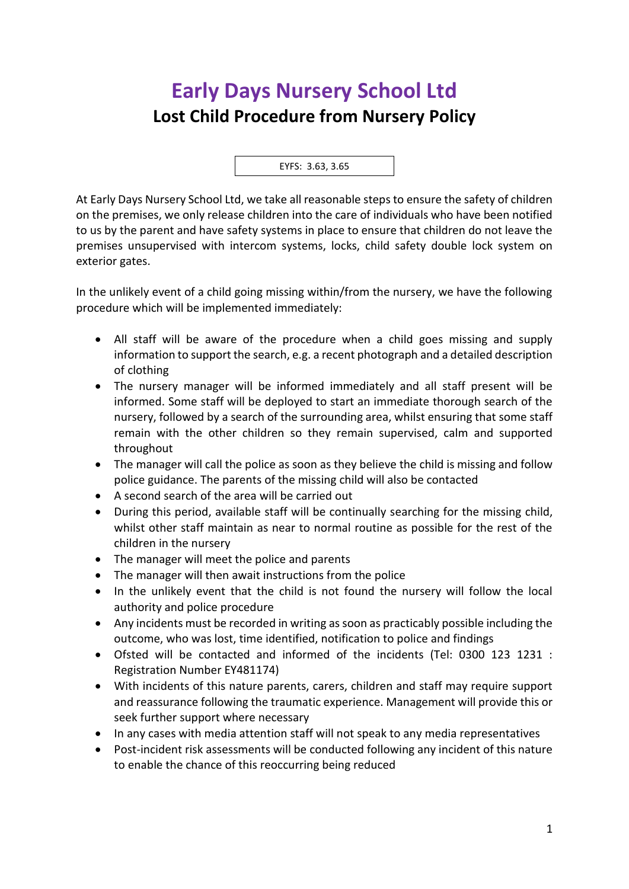## **Early Days Nursery School Ltd Lost Child Procedure from Nursery Policy**

EYFS: 3.63, 3.65

At Early Days Nursery School Ltd, we take all reasonable steps to ensure the safety of children on the premises, we only release children into the care of individuals who have been notified to us by the parent and have safety systems in place to ensure that children do not leave the premises unsupervised with intercom systems, locks, child safety double lock system on exterior gates.

In the unlikely event of a child going missing within/from the nursery, we have the following procedure which will be implemented immediately:

- All staff will be aware of the procedure when a child goes missing and supply information to support the search, e.g. a recent photograph and a detailed description of clothing
- The nursery manager will be informed immediately and all staff present will be informed. Some staff will be deployed to start an immediate thorough search of the nursery, followed by a search of the surrounding area, whilst ensuring that some staff remain with the other children so they remain supervised, calm and supported throughout
- The manager will call the police as soon as they believe the child is missing and follow police guidance. The parents of the missing child will also be contacted
- A second search of the area will be carried out
- During this period, available staff will be continually searching for the missing child, whilst other staff maintain as near to normal routine as possible for the rest of the children in the nursery
- The manager will meet the police and parents
- The manager will then await instructions from the police
- In the unlikely event that the child is not found the nursery will follow the local authority and police procedure
- Any incidents must be recorded in writing as soon as practicably possible including the outcome, who was lost, time identified, notification to police and findings
- Ofsted will be contacted and informed of the incidents (Tel: 0300 123 1231 : Registration Number EY481174)
- With incidents of this nature parents, carers, children and staff may require support and reassurance following the traumatic experience. Management will provide this or seek further support where necessary
- In any cases with media attention staff will not speak to any media representatives
- Post-incident risk assessments will be conducted following any incident of this nature to enable the chance of this reoccurring being reduced